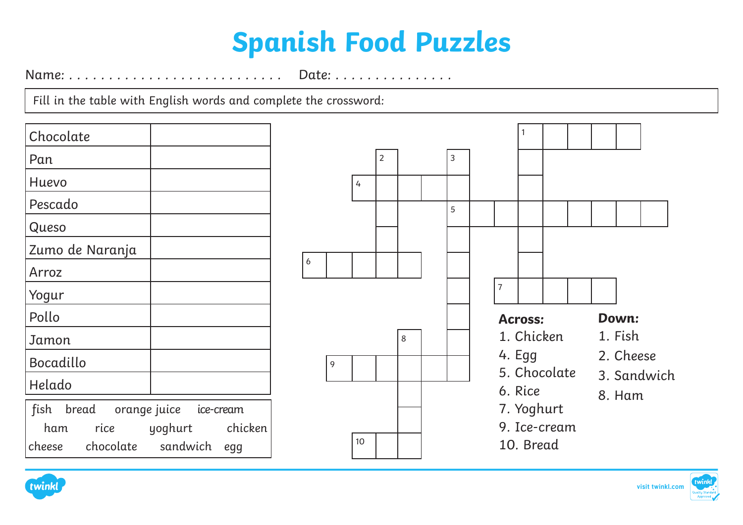## **Spanish Food Puzzles**

Name: . . . . . . . . . . . . . . . . . . . . . . . . . . . Date: . . . . . . . . . . . . . . .

Fill in the table with English words and complete the crossword:

| Chocolate                         |                      |
|-----------------------------------|----------------------|
| Pan                               |                      |
| Huevo                             |                      |
| Pescado                           |                      |
| Queso                             |                      |
| Zumo de Naranja                   |                      |
| Arroz                             |                      |
| Yogur                             |                      |
| Pollo                             |                      |
| Jamon                             |                      |
| Bocadillo                         |                      |
| Helado                            |                      |
| fish bread orange juice ice-cream |                      |
| ham                               | rice yoghurt chicken |
| cheese chocolate sandwich egg     |                      |